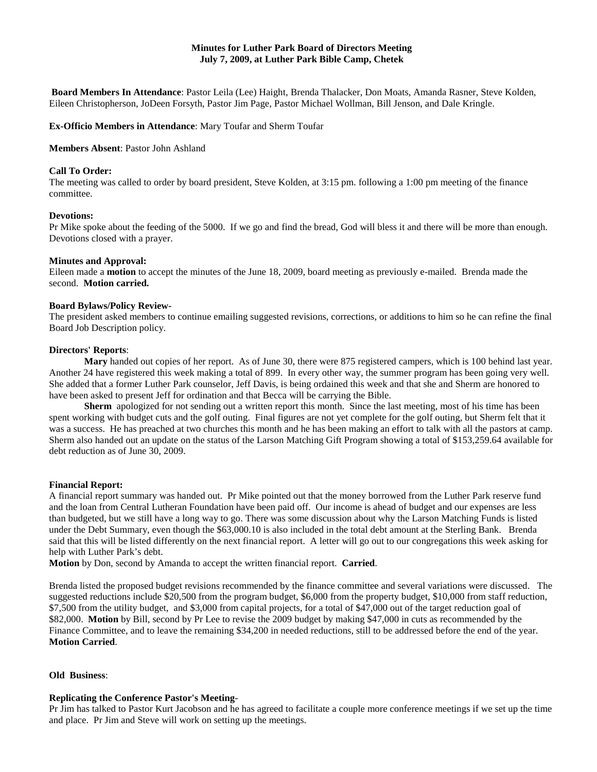# **Minutes for Luther Park Board of Directors Meeting July 7, 2009, at Luther Park Bible Camp, Chetek**

**Board Members In Attendance**: Pastor Leila (Lee) Haight, Brenda Thalacker, Don Moats, Amanda Rasner, Steve Kolden, Eileen Christopherson, JoDeen Forsyth, Pastor Jim Page, Pastor Michael Wollman, Bill Jenson, and Dale Kringle.

**Ex-Officio Members in Attendance**: Mary Toufar and Sherm Toufar

### **Members Absent**: Pastor John Ashland

### **Call To Order:**

The meeting was called to order by board president, Steve Kolden, at 3:15 pm. following a 1:00 pm meeting of the finance committee.

### **Devotions:**

Pr Mike spoke about the feeding of the 5000. If we go and find the bread, God will bless it and there will be more than enough. Devotions closed with a prayer.

### **Minutes and Approval:**

Eileen made a **motion** to accept the minutes of the June 18, 2009, board meeting as previously e-mailed. Brenda made the second. **Motion carried.**

### **Board Bylaws/Policy Review-**

The president asked members to continue emailing suggested revisions, corrections, or additions to him so he can refine the final Board Job Description policy.

#### **Directors' Reports**:

**Mary** handed out copies of her report. As of June 30, there were 875 registered campers, which is 100 behind last year. Another 24 have registered this week making a total of 899. In every other way, the summer program has been going very well. She added that a former Luther Park counselor, Jeff Davis, is being ordained this week and that she and Sherm are honored to have been asked to present Jeff for ordination and that Becca will be carrying the Bible.

**Sherm** apologized for not sending out a written report this month. Since the last meeting, most of his time has been spent working with budget cuts and the golf outing. Final figures are not yet complete for the golf outing, but Sherm felt that it was a success. He has preached at two churches this month and he has been making an effort to talk with all the pastors at camp. Sherm also handed out an update on the status of the Larson Matching Gift Program showing a total of \$153,259.64 available for debt reduction as of June 30, 2009.

#### **Financial Report:**

A financial report summary was handed out. Pr Mike pointed out that the money borrowed from the Luther Park reserve fund and the loan from Central Lutheran Foundation have been paid off. Our income is ahead of budget and our expenses are less than budgeted, but we still have a long way to go. There was some discussion about why the Larson Matching Funds is listed under the Debt Summary, even though the \$63,000.10 is also included in the total debt amount at the Sterling Bank. Brenda said that this will be listed differently on the next financial report. A letter will go out to our congregations this week asking for help with Luther Park's debt.

**Motion** by Don, second by Amanda to accept the written financial report. **Carried**.

Brenda listed the proposed budget revisions recommended by the finance committee and several variations were discussed. The suggested reductions include \$20,500 from the program budget, \$6,000 from the property budget, \$10,000 from staff reduction, \$7,500 from the utility budget, and \$3,000 from capital projects, for a total of \$47,000 out of the target reduction goal of \$82,000. **Motion** by Bill, second by Pr Lee to revise the 2009 budget by making \$47,000 in cuts as recommended by the Finance Committee, and to leave the remaining \$34,200 in needed reductions, still to be addressed before the end of the year. **Motion Carried**.

## **Old Business**:

## **Replicating the Conference Pastor's Meeting**-

Pr Jim has talked to Pastor Kurt Jacobson and he has agreed to facilitate a couple more conference meetings if we set up the time and place. Pr Jim and Steve will work on setting up the meetings.